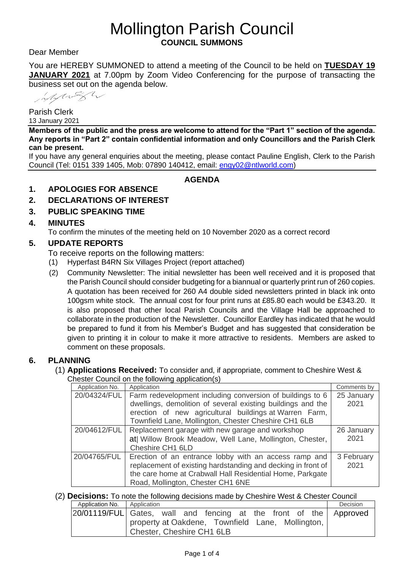# Mollington Parish Council **COUNCIL SUMMONS**

Dear Member

You are HEREBY SUMMONED to attend a meeting of the Council to be held on **TUESDAY 19 JANUARY 2021** at 7.00pm by Zoom Video Conferencing for the purpose of transacting the business set out on the agenda below.

Mylight

Parish Clerk 13 January 2021

**Members of the public and the press are welcome to attend for the "Part 1" section of the agenda. Any reports in "Part 2" contain confidential information and only Councillors and the Parish Clerk can be present.**

If you have any general enquiries about the meeting, please contact Pauline English, Clerk to the Parish Council (Tel: 0151 339 1405, Mob: 07890 140412, email: [engy02@ntlworld.com\)](mailto:engy02@ntlworld.com)

**AGENDA**

## **1. APOLOGIES FOR ABSENCE**

- **2. DECLARATIONS OF INTEREST**
- **3. PUBLIC SPEAKING TIME**

#### **4. MINUTES**

To confirm the minutes of the meeting held on 10 November 2020 as a correct record

#### **5. UPDATE REPORTS**

To receive reports on the following matters:

- (1) Hyperfast B4RN Six Villages Project (report attached)
- (2) Community Newsletter: The initial newsletter has been well received and it is proposed that the Parish Council should consider budgeting for a biannual or quarterly print run of 260 copies. A quotation has been received for 260 A4 double sided newsletters printed in black ink onto 100gsm white stock. The annual cost for four print runs at £85.80 each would be £343.20. It is also proposed that other local Parish Councils and the Village Hall be approached to collaborate in the production of the Newsletter. Councillor Eardley has indicated that he would be prepared to fund it from his Member's Budget and has suggested that consideration be given to printing it in colour to make it more attractive to residents. Members are asked to comment on these proposals.

#### **6. PLANNING**

(1) **Applications Received:** To consider and, if appropriate, comment to Cheshire West & Chester Council on the following application(s)

| Application No. | Application                                                  | Comments by |  |  |
|-----------------|--------------------------------------------------------------|-------------|--|--|
| 20/04324/FUL    | Farm redevelopment including conversion of buildings to 6    | 25 January  |  |  |
|                 | dwellings, demolition of several existing buildings and the  |             |  |  |
|                 | erection of new agricultural buildings at Warren Farm,       |             |  |  |
|                 | Townfield Lane, Mollington, Chester Cheshire CH1 6LB         |             |  |  |
| 20/04612/FUL    | Replacement garage with new garage and workshop              | 26 January  |  |  |
|                 | at  Willow Brook Meadow, Well Lane, Mollington, Chester,     | 2021        |  |  |
|                 | Cheshire CH1 6LD                                             |             |  |  |
| 20/04765/FUL    | Erection of an entrance lobby with an access ramp and        | 3 February  |  |  |
|                 | replacement of existing hardstanding and decking in front of | 2021        |  |  |
|                 | the care home at Crabwall Hall Residential Home, Parkgate    |             |  |  |
|                 | Road, Mollington, Chester CH1 6NE                            |             |  |  |

#### (2) **Decisions:** To note the following decisions made by Cheshire West & Chester Council

| Application No.   Application |                                                                   | Decision |
|-------------------------------|-------------------------------------------------------------------|----------|
|                               | 20/01119/FUL Gates, wall and fencing at the front of the Approved |          |
|                               | property at Oakdene, Townfield Lane, Mollington,                  |          |
|                               | Chester, Cheshire CH1 6LB                                         |          |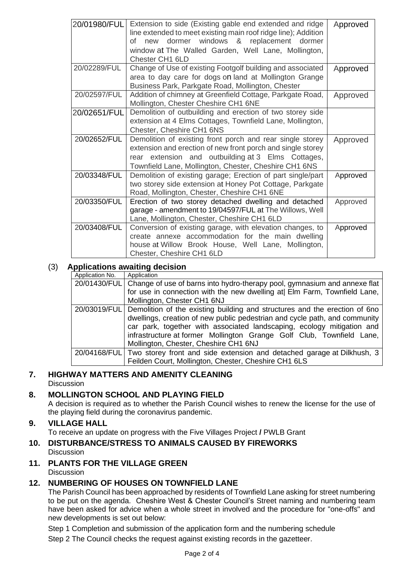| 20/01980/FUL | Extension to side (Existing gable end extended and ridge<br>line extended to meet existing main roof ridge line); Addition<br>of new dormer windows & replacement dormer<br>window at The Walled Garden, Well Lane, Mollington,<br>Chester CH1 6LD | Approved |
|--------------|----------------------------------------------------------------------------------------------------------------------------------------------------------------------------------------------------------------------------------------------------|----------|
| 20/02289/FUL | Change of Use of existing Footgolf building and associated<br>area to day care for dogs on land at Mollington Grange<br>Business Park, Parkgate Road, Mollington, Chester                                                                          | Approved |
| 20/02597/FUL | Addition of chimney at Greenfield Cottage, Parkgate Road,<br>Mollington, Chester Cheshire CH1 6NE                                                                                                                                                  | Approved |
| 20/02651/FUL | Demolition of outbuilding and erection of two storey side<br>extension at 4 Elms Cottages, Townfield Lane, Mollington,<br>Chester, Cheshire CH1 6NS                                                                                                |          |
| 20/02652/FUL | Demolition of existing front porch and rear single storey<br>extension and erection of new front porch and single storey<br>rear extension and outbuilding at 3 Elms Cottages,<br>Townfield Lane, Mollington, Chester, Cheshire CH1 6NS            | Approved |
| 20/03348/FUL | Demolition of existing garage; Erection of part single/part<br>two storey side extension at Honey Pot Cottage, Parkgate<br>Road, Mollington, Chester, Cheshire CH1 6NE                                                                             | Approved |
| 20/03350/FUL | Erection of two storey detached dwelling and detached<br>garage - amendment to 19/04597/FUL at The Willows, Well<br>Lane, Mollington, Chester, Cheshire CH1 6LD                                                                                    | Approved |
| 20/03408/FUL | Conversion of existing garage, with elevation changes, to<br>create annexe accommodation for the main dwelling<br>house at Willow Brook House, Well Lane, Mollington,<br>Chester, Cheshire CH1 6LD                                                 | Approved |

# (3) **Applications awaiting decision**

| Application No. | Application                                                                                                                                                                                                                                                                                                                                                       |
|-----------------|-------------------------------------------------------------------------------------------------------------------------------------------------------------------------------------------------------------------------------------------------------------------------------------------------------------------------------------------------------------------|
|                 | 20/01430/FUL Change of use of barns into hydro-therapy pool, gymnasium and annexe flat                                                                                                                                                                                                                                                                            |
|                 | for use in connection with the new dwelling at Elm Farm, Townfield Lane,                                                                                                                                                                                                                                                                                          |
|                 | Mollington, Chester CH1 6NJ                                                                                                                                                                                                                                                                                                                                       |
|                 | 20/03019/FUL Demolition of the existing building and structures and the erection of 6no<br>dwellings, creation of new public pedestrian and cycle path, and community<br>car park, together with associated landscaping, ecology mitigation and<br>infrastructure at former Mollington Grange Golf Club, Townfield Lane,<br>Mollington, Chester, Cheshire CH1 6NJ |
|                 | 20/04168/FUL Two storey front and side extension and detached garage at Dilkhush, 3                                                                                                                                                                                                                                                                               |
|                 | Feilden Court, Mollington, Chester, Cheshire CH1 6LS                                                                                                                                                                                                                                                                                                              |

#### **7. HIGHWAY MATTERS AND AMENITY CLEANING Discussion**

# **8. MOLLINGTON SCHOOL AND PLAYING FIELD**

A decision is required as to whether the Parish Council wishes to renew the license for the use of the playing field during the coronavirus pandemic.

#### **9. VILLAGE HALL**

To receive an update on progress with the Five Villages Project **/** PWLB Grant

**10. DISTURBANCE/STRESS TO ANIMALS CAUSED BY FIREWORKS Discussion** 

## **11. PLANTS FOR THE VILLAGE GREEN**

**Discussion** 

# **12. NUMBERING OF HOUSES ON TOWNFIELD LANE**

The Parish Council has been approached by residents of Townfield Lane asking for street numbering to be put on the agenda. Cheshire West & Chester Council's Street naming and numbering team have been asked for advice when a whole street in involved and the procedure for "one-offs" and new developments is set out below:

Step 1 Completion and submission of the application form and the numbering schedule

Step 2 The Council checks the request against existing records in the gazetteer.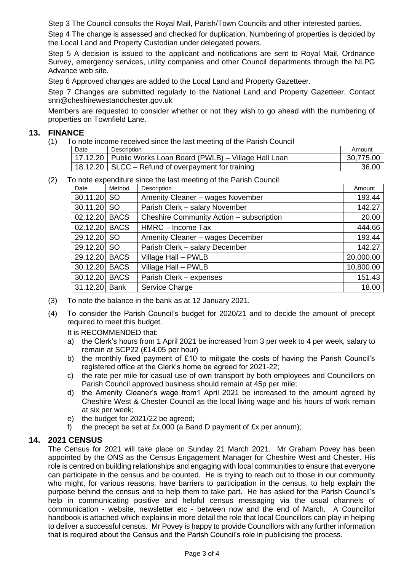Step 3 The Council consults the Royal Mail, Parish/Town Councils and other interested parties.

Step 4 The change is assessed and checked for duplication. Numbering of properties is decided by the Local Land and Property Custodian under delegated powers.

Step 5 A decision is issued to the applicant and notifications are sent to Royal Mail, Ordnance Survey, emergency services, utility companies and other Council departments through the NLPG Advance web site.

Step 6 Approved changes are added to the Local Land and Property Gazetteer.

Step 7 Changes are submitted regularly to the National Land and Property Gazetteer. Contact snn@cheshirewestandchester.gov.uk

Members are requested to consider whether or not they wish to go ahead with the numbering of properties on Townfield Lane.

#### **13. FINANCE**

(1) To note income received since the last meeting of the Parish Council

| Date | <b>Description</b>                                            | Amount    |
|------|---------------------------------------------------------------|-----------|
|      | 17.12.20   Public Works Loan Board (PWLB) – Village Hall Loan | 30,775.00 |
|      | 18.12.20 SLCC – Refund of overpayment for training            | 36.00     |

(2) To note expenditure since the last meeting of the Parish Council

| Date          | Method      | Description                              | Amount    |
|---------------|-------------|------------------------------------------|-----------|
| 30.11.20 SO   |             | Amenity Cleaner - wages November         | 193.44    |
| 30.11.20      | <b>SO</b>   | Parish Clerk - salary November           | 142.27    |
| 02.12.20      | <b>BACS</b> | Cheshire Community Action - subscription | 20.00     |
| 02.12.20 BACS |             | HMRC - Income Tax                        | 444.66    |
| 29.12.20      | <b>SO</b>   | Amenity Cleaner - wages December         | 193.44    |
| 29.12.20 SO   |             | Parish Clerk - salary December           | 142.27    |
| 29.12.20      | <b>BACS</b> | Village Hall - PWLB                      | 20,000.00 |
| 30.12.20      | <b>BACS</b> | Village Hall - PWLB                      | 10,800.00 |
| 30.12.20      | <b>BACS</b> | Parish Clerk - expenses                  | 151.43    |
| 31.12.20      | Bank        | Service Charge                           | 18.00     |

- (3) To note the balance in the bank as at 12 January 2021.
- (4) To consider the Parish Council's budget for 2020/21 and to decide the amount of precept required to meet this budget.

It is RECOMMENDED that:

- a) the Clerk's hours from 1 April 2021 be increased from 3 per week to 4 per week, salary to remain at SCP22 (£14.05 per hour)
- b) the monthly fixed payment of £10 to mitigate the costs of having the Parish Council's registered office at the Clerk's home be agreed for 2021-22;
- c) the rate per mile for casual use of own transport by both employees and Councillors on Parish Council approved business should remain at 45p per mile;
- d) the Amenity Cleaner's wage from1 April 2021 be increased to the amount agreed by Cheshire West & Chester Council as the local living wage and his hours of work remain at six per week;
- e) the budget for 2021/22 be agreed;
- f) the precept be set at  $Ex.000$  (a Band D payment of  $Ex$  per annum);

# **14. 2021 CENSUS**

The Census for 2021 will take place on Sunday 21 March 2021. Mr Graham Povey has been appointed by the ONS as the Census Engagement Manager for Cheshire West and Chester. His role is centred on building relationships and engaging with local communities to ensure that everyone can participate in the census and be counted. He is trying to reach out to those in our community who might, for various reasons, have barriers to participation in the census, to help explain the purpose behind the census and to help them to take part. He has asked for the Parish Council's help in communicating positive and helpful census messaging via the usual channels of communication - website, newsletter etc - between now and the end of March. A Councillor handbook is attached which explains in more detail the role that local Councillors can play in helping to deliver a successful census. Mr Povey is happy to provide Councillors with any further information that is required about the Census and the Parish Council's role in publicising the process.